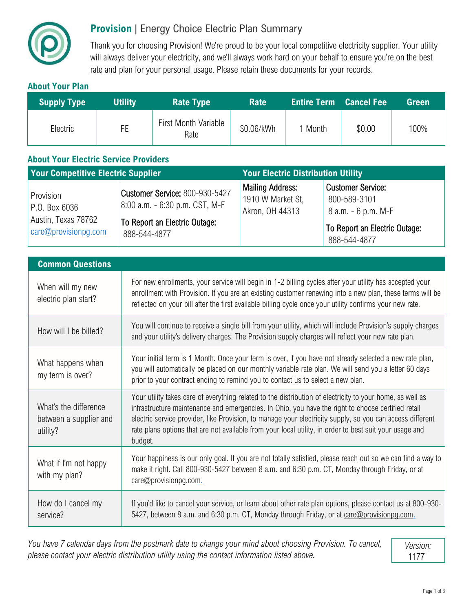

## **Provision** | Energy Choice Electric Plan Summary

Thank you for choosing Provision! We're proud to be your local competitive electricity supplier. Your utility will always deliver your electricity, and we'll always work hard on your behalf to ensure you're on the best rate and plan for your personal usage. Please retain these documents for your records.

## **About Your Plan**

| <b>Supply Type</b> | <b>Utility</b> | <b>Rate Type</b>             | <b>Rate</b> | <b>Entire Term Cancel Fee</b> |        | Green |
|--------------------|----------------|------------------------------|-------------|-------------------------------|--------|-------|
| Electric           | FE             | First Month Variable<br>Rate | \$0.06/kWh  | 1 Month                       | \$0.00 | 100%  |

## **About Your Electric Service Providers**

| <b>Your Competitive Electric Supplier</b>                                          |                                                                                                                          | <b>Your Electric Distribution Utility</b>                       |                                                                                                                  |  |
|------------------------------------------------------------------------------------|--------------------------------------------------------------------------------------------------------------------------|-----------------------------------------------------------------|------------------------------------------------------------------------------------------------------------------|--|
| Provision<br>P.O. Box 6036<br>Austin, Texas 78762<br>$\alpha$ care@provisionpg.com | <b>Customer Service: 800-930-5427</b><br>8:00 a.m. - 6:30 p.m. CST, M-F<br>To Report an Electric Outage:<br>888-544-4877 | <b>Mailing Address:</b><br>1910 W Market St,<br>Akron, OH 44313 | <b>Customer Service:</b><br>800-589-3101<br>8 a.m. - 6 p.m. M-F<br>To Report an Electric Outage:<br>888-544-4877 |  |

| <b>Common Questions</b>                                     |                                                                                                                                                                                                                                                                                                                                                                                                                                                    |  |  |  |
|-------------------------------------------------------------|----------------------------------------------------------------------------------------------------------------------------------------------------------------------------------------------------------------------------------------------------------------------------------------------------------------------------------------------------------------------------------------------------------------------------------------------------|--|--|--|
| When will my new<br>electric plan start?                    | For new enrollments, your service will begin in 1-2 billing cycles after your utility has accepted your<br>enrollment with Provision. If you are an existing customer renewing into a new plan, these terms will be<br>reflected on your bill after the first available billing cycle once your utility confirms your new rate.                                                                                                                    |  |  |  |
| How will I be billed?                                       | You will continue to receive a single bill from your utility, which will include Provision's supply charges<br>and your utility's delivery charges. The Provision supply charges will reflect your new rate plan.                                                                                                                                                                                                                                  |  |  |  |
| What happens when<br>my term is over?                       | Your initial term is 1 Month. Once your term is over, if you have not already selected a new rate plan,<br>you will automatically be placed on our monthly variable rate plan. We will send you a letter 60 days<br>prior to your contract ending to remind you to contact us to select a new plan.                                                                                                                                                |  |  |  |
| What's the difference<br>between a supplier and<br>utility? | Your utility takes care of everything related to the distribution of electricity to your home, as well as<br>infrastructure maintenance and emergencies. In Ohio, you have the right to choose certified retail<br>electric service provider, like Provision, to manage your electricity supply, so you can access different<br>rate plans options that are not available from your local utility, in order to best suit your usage and<br>budget. |  |  |  |
| What if I'm not happy<br>with my plan?                      | Your happiness is our only goal. If you are not totally satisfied, please reach out so we can find a way to<br>make it right. Call 800-930-5427 between 8 a.m. and 6:30 p.m. CT, Monday through Friday, or at<br>care@provisionpg.com.                                                                                                                                                                                                             |  |  |  |
| How do I cancel my<br>service?                              | If you'd like to cancel your service, or learn about other rate plan options, please contact us at 800-930-<br>5427, between 8 a.m. and 6:30 p.m. CT, Monday through Friday, or at care@provisionpg.com.                                                                                                                                                                                                                                           |  |  |  |

*You have 7 calendar days from the postmark date to change your mind about choosing Provision. To cancel, please contact your electric distribution utility using the contact information listed above.* 

*Version:* 1177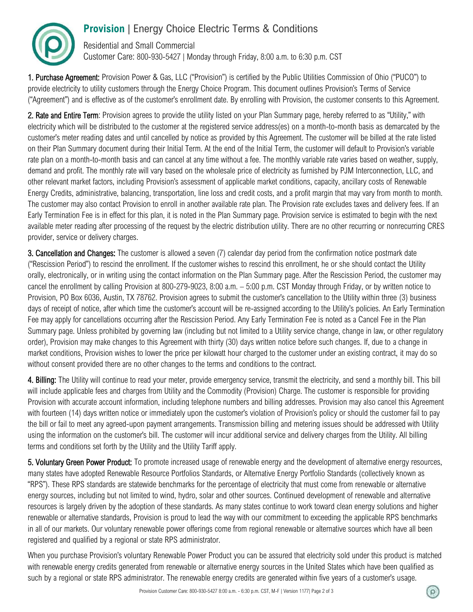

Residential and Small Commercial Customer Care: 800-930-5427 | Monday through Friday, 8:00 a.m. to 6:30 p.m. CST

1. Purchase Agreement: Provision Power & Gas, LLC ("Provision") is certified by the Public Utilities Commission of Ohio ("PUCO") to provide electricity to utility customers through the Energy Choice Program. This document outlines Provision's Terms of Service ("Agreement") and is effective as of the customer's enrollment date. By enrolling with Provision, the customer consents to this Agreement.

2. Rate and Entire Term: Provision agrees to provide the utility listed on your Plan Summary page, hereby referred to as "Utility," with electricity which will be distributed to the customer at the registered service address(es) on a month-to-month basis as demarcated by the customer's meter reading dates and until cancelled by notice as provided by this Agreement. The customer will be billed at the rate listed on their Plan Summary document during their Initial Term. At the end of the Initial Term, the customer will default to Provision's variable rate plan on a month-to-month basis and can cancel at any time without a fee. The monthly variable rate varies based on weather, supply, demand and profit. The monthly rate will vary based on the wholesale price of electricity as furnished by PJM Interconnection, LLC, and other relevant market factors, including Provision's assessment of applicable market conditions, capacity, ancillary costs of Renewable Energy Credits, administrative, balancing, transportation, line loss and credit costs, and a profit margin that may vary from month to month. The customer may also contact Provision to enroll in another available rate plan. The Provision rate excludes taxes and delivery fees. If an Early Termination Fee is in effect for this plan, it is noted in the Plan Summary page. Provision service is estimated to begin with the next available meter reading after processing of the request by the electric distribution utility. There are no other recurring or nonrecurring CRES provider, service or delivery charges.

3. Cancellation and Changes: The customer is allowed a seven (7) calendar day period from the confirmation notice postmark date ("Rescission Period") to rescind the enrollment. If the customer wishes to rescind this enrollment, he or she should contact the Utility orally, electronically, or in writing using the contact information on the Plan Summary page. After the Rescission Period, the customer may cancel the enrollment by calling Provision at 800-279-9023, 8:00 a.m. – 5:00 p.m. CST Monday through Friday, or by written notice to Provision, PO Box 6036, Austin, TX 78762. Provision agrees to submit the customer's cancellation to the Utility within three (3) business days of receipt of notice, after which time the customer's account will be re-assigned according to the Utility's policies. An Early Termination Fee may apply for cancellations occurring after the Rescission Period. Any Early Termination Fee is noted as a Cancel Fee in the Plan Summary page. Unless prohibited by governing law (including but not limited to a Utility service change, change in law, or other regulatory order), Provision may make changes to this Agreement with thirty (30) days written notice before such changes. If, due to a change in market conditions, Provision wishes to lower the price per kilowatt hour charged to the customer under an existing contract, it may do so without consent provided there are no other changes to the terms and conditions to the contract.

4. Billing: The Utility will continue to read your meter, provide emergency service, transmit the electricity, and send a monthly bill. This bill will include applicable fees and charges from Utility and the Commodity (Provision) Charge. The customer is responsible for providing Provision with accurate account information, including telephone numbers and billing addresses. Provision may also cancel this Agreement with fourteen (14) days written notice or immediately upon the customer's violation of Provision's policy or should the customer fail to pay the bill or fail to meet any agreed-upon payment arrangements. Transmission billing and metering issues should be addressed with Utility using the information on the customer's bill. The customer will incur additional service and delivery charges from the Utility. All billing terms and conditions set forth by the Utility and the Utility Tariff apply.

5. Voluntary Green Power Product: To promote increased usage of renewable energy and the development of alternative energy resources, many states have adopted Renewable Resource Portfolios Standards, or Alternative Energy Portfolio Standards (collectively known as "RPS"). These RPS standards are statewide benchmarks for the percentage of electricity that must come from renewable or alternative energy sources, including but not limited to wind, hydro, solar and other sources. Continued development of renewable and alternative resources is largely driven by the adoption of these standards. As many states continue to work toward clean energy solutions and higher renewable or alternative standards, Provision is proud to lead the way with our commitment to exceeding the applicable RPS benchmarks in all of our markets. Our voluntary renewable power offerings come from regional renewable or alternative sources which have all been registered and qualified by a regional or state RPS administrator.

When you purchase Provision's voluntary Renewable Power Product you can be assured that electricity sold under this product is matched with renewable energy credits generated from renewable or alternative energy sources in the United States which have been qualified as such by a regional or state RPS administrator. The renewable energy credits are generated within five years of a customer's usage.